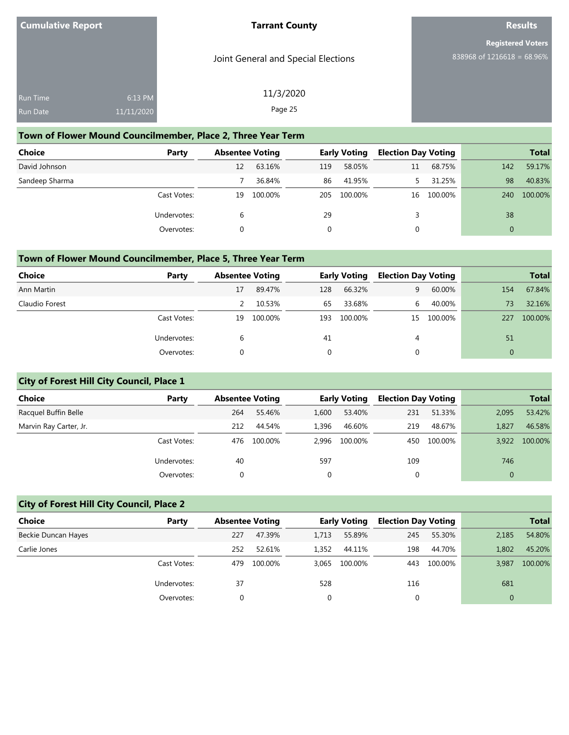Joint General and Special Elections

## **Official Results**

**Registered Voters** 838968 of 1216618 = 68.96%

| Run Time         | $6:13$ PM  |
|------------------|------------|
| <u>Ru</u> n Date | 11/11/2020 |
|                  |            |

## 11/3/2020 Page 25

#### **Town of Flower Mound Councilmember, Place 2, Three Year Term**

| <b>Choice</b>  | Party       | <b>Absentee Voting</b> |         |          | <b>Early Voting</b> | <b>Election Day Voting</b> |         |          | <b>Total</b> |
|----------------|-------------|------------------------|---------|----------|---------------------|----------------------------|---------|----------|--------------|
| David Johnson  |             | 12                     | 63.16%  | 119      | 58.05%              | 11                         | 68.75%  | 142      | 59.17%       |
| Sandeep Sharma |             |                        | 36.84%  | 86       | 41.95%              |                            | 31.25%  | 98       | 40.83%       |
|                | Cast Votes: | 19                     | 100.00% | 205      | 100.00%             | 16                         | 100.00% | 240      | 100.00%      |
|                | Undervotes: | 6                      |         | 29       |                     |                            |         | 38       |              |
|                | Overvotes:  |                        |         | $\Omega$ |                     | 0                          |         | $\Omega$ |              |

#### **Town of Flower Mound Councilmember, Place 5, Three Year Term**

| Choice         | Party       | <b>Absentee Voting</b> |         |     | <b>Early Voting</b> | <b>Election Day Voting</b> |         |     | <b>Total</b> |
|----------------|-------------|------------------------|---------|-----|---------------------|----------------------------|---------|-----|--------------|
| Ann Martin     |             | 17                     | 89.47%  | 128 | 66.32%              | 9.                         | 60.00%  | 154 | 67.84%       |
| Claudio Forest |             |                        | 10.53%  | 65  | 33.68%              | 6                          | 40.00%  | 73  | 32.16%       |
|                | Cast Votes: | 19                     | 100.00% | 193 | 100.00%             | 15                         | 100.00% | 227 | 100.00%      |
|                | Undervotes: | b                      |         | 41  |                     | 4                          |         | 51  |              |
|                | Overvotes:  |                        |         |     |                     |                            |         |     |              |

## **City of Forest Hill City Council, Place 1**

| <b>Choice</b>          | Party       | <b>Absentee Voting</b> |         |       | <b>Early Voting</b> | <b>Election Day Voting</b> |         |              | <b>Total</b> |
|------------------------|-------------|------------------------|---------|-------|---------------------|----------------------------|---------|--------------|--------------|
| Racquel Buffin Belle   |             | 264                    | 55.46%  | 1,600 | 53.40%              | 231                        | 51.33%  | 2,095        | 53.42%       |
| Marvin Ray Carter, Jr. |             | 212                    | 44.54%  | 1.396 | 46.60%              | 219                        | 48.67%  | 1,827        | 46.58%       |
|                        | Cast Votes: | 476                    | 100.00% | 2.996 | 100.00%             | 450                        | 100.00% | 3.922        | 100.00%      |
|                        | Undervotes: | 40                     |         | 597   |                     | 109                        |         | 746          |              |
|                        | Overvotes:  |                        |         | 0     |                     | 0                          |         | $\mathbf{0}$ |              |

## **City of Forest Hill City Council, Place 2**

| Choice              | Party       | <b>Absentee Voting</b> |         |       | <b>Early Voting</b> | <b>Election Day Voting</b> |         |              | <b>Total</b> |
|---------------------|-------------|------------------------|---------|-------|---------------------|----------------------------|---------|--------------|--------------|
| Beckie Duncan Hayes |             | 227                    | 47.39%  | 1.713 | 55.89%              | 245                        | 55.30%  | 2,185        | 54.80%       |
| Carlie Jones        |             | 252                    | 52.61%  | 1,352 | 44.11%              | 198                        | 44.70%  | 1,802        | 45.20%       |
|                     | Cast Votes: | 479                    | 100.00% | 3.065 | 100.00%             | 443                        | 100.00% | 3,987        | 100.00%      |
|                     | Undervotes: | 37                     |         | 528   |                     | 116                        |         | 681          |              |
|                     | Overvotes:  | 0                      |         |       |                     | 0                          |         | $\mathbf{0}$ |              |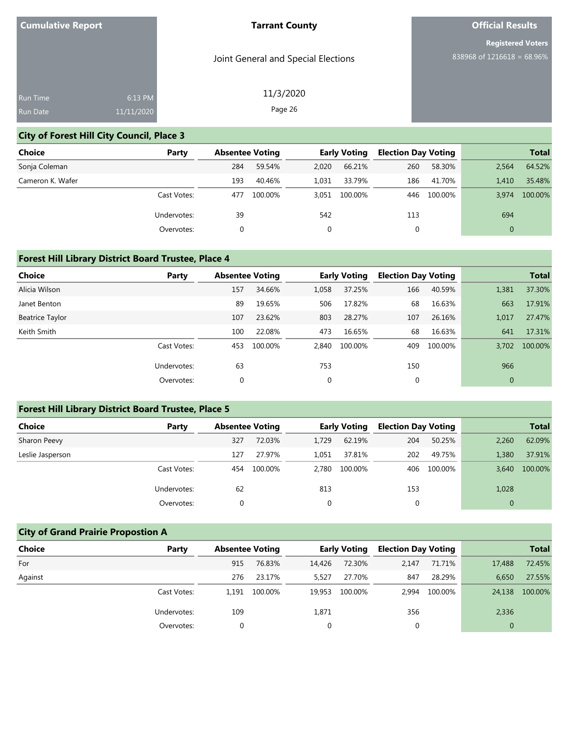Joint General and Special Elections

11/3/2020 Page 26

# **Official Results**

**Registered Voters** 838968 of 1216618 = 68.96%

| Run Time        | 6:13 PM    |  |
|-----------------|------------|--|
| <b>Run Date</b> | 11/11/2020 |  |
|                 |            |  |

## **City of Forest Hill City Council, Place 3**

| Choice           | Party       | <b>Absentee Voting</b> |         |       | <b>Early Voting</b> | <b>Election Day Voting</b> |         |                | <b>Total</b> |
|------------------|-------------|------------------------|---------|-------|---------------------|----------------------------|---------|----------------|--------------|
| Sonja Coleman    |             | 284                    | 59.54%  | 2,020 | 66.21%              | 260                        | 58.30%  | 2.564          | 64.52%       |
| Cameron K. Wafer |             | 193                    | 40.46%  | 1.031 | 33.79%              | 186                        | 41.70%  | 1.410          | 35.48%       |
|                  | Cast Votes: | 477                    | 100.00% |       | 3.051 100.00%       | 446                        | 100.00% | 3.974          | 100.00%      |
|                  | Undervotes: | 39                     |         | 542   |                     | 113                        |         | 694            |              |
|                  | Overvotes:  |                        |         |       |                     | 0                          |         | $\overline{0}$ |              |

## **Forest Hill Library District Board Trustee, Place 4**

| <b>Choice</b>   | Party       | <b>Absentee Voting</b> |         |       | <b>Early Voting</b> | <b>Election Day Voting</b> |         |              | <b>Total</b> |
|-----------------|-------------|------------------------|---------|-------|---------------------|----------------------------|---------|--------------|--------------|
| Alicia Wilson   |             | 157                    | 34.66%  | 1,058 | 37.25%              | 166                        | 40.59%  | 1,381        | 37.30%       |
| Janet Benton    |             | 89                     | 19.65%  | 506   | 17.82%              | 68                         | 16.63%  | 663          | 17.91%       |
| Beatrice Taylor |             | 107                    | 23.62%  | 803   | 28.27%              | 107                        | 26.16%  | 1,017        | 27.47%       |
| Keith Smith     |             | 100                    | 22.08%  | 473   | 16.65%              | 68                         | 16.63%  | 641          | 17.31%       |
|                 | Cast Votes: | 453                    | 100.00% | 2.840 | 100.00%             | 409                        | 100.00% | 3.702        | 100.00%      |
|                 | Undervotes: | 63                     |         | 753   |                     | 150                        |         | 966          |              |
|                 | Overvotes:  | $\mathbf 0$            |         | 0     |                     | 0                          |         | $\mathbf{0}$ |              |

## **Forest Hill Library District Board Trustee, Place 5**

| <b>Choice</b>    | Party       | <b>Absentee Voting</b> |         |       | <b>Early Voting</b> | <b>Election Day Voting</b> |         |                | <b>Total</b> |
|------------------|-------------|------------------------|---------|-------|---------------------|----------------------------|---------|----------------|--------------|
| Sharon Peevy     |             | 327                    | 72.03%  | 1.729 | 62.19%              | 204                        | 50.25%  | 2,260          | 62.09%       |
| Leslie Jasperson |             | 127                    | 27.97%  | 1.051 | 37.81%              | 202                        | 49.75%  | 1,380          | 37.91%       |
|                  | Cast Votes: | 454                    | 100.00% | 2.780 | 100.00%             | 406                        | 100.00% | 3,640          | 100.00%      |
|                  | Undervotes: | 62                     |         | 813   |                     | 153                        |         | 1,028          |              |
|                  | Overvotes:  |                        |         |       |                     | 0                          |         | $\overline{0}$ |              |

## **City of Grand Prairie Propostion A**

| <b>Choice</b> | Party       | <b>Absentee Voting</b> |         |        | <b>Early Voting</b> | <b>Election Day Voting</b> |         |        | <b>Total</b> |
|---------------|-------------|------------------------|---------|--------|---------------------|----------------------------|---------|--------|--------------|
| For           |             | 915                    | 76.83%  | 14,426 | 72.30%              | 2,147                      | 71.71%  | 17,488 | 72.45%       |
| Against       |             | 276                    | 23.17%  | 5.527  | 27.70%              | 847                        | 28.29%  | 6.650  | 27.55%       |
|               | Cast Votes: | 1.191                  | 100.00% | 19.953 | 100.00%             | 2.994                      | 100.00% | 24,138 | 100.00%      |
|               | Undervotes: | 109                    |         | 1,871  |                     | 356                        |         | 2,336  |              |
|               | Overvotes:  |                        |         |        |                     |                            |         | 0      |              |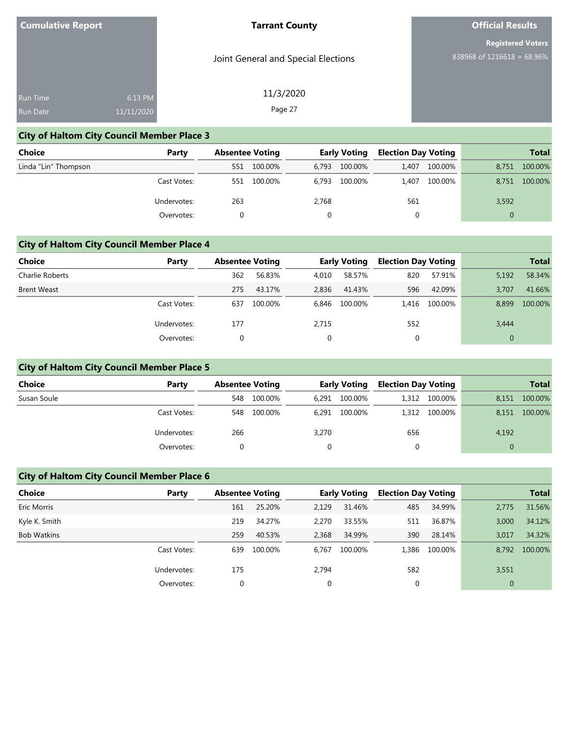Joint General and Special Elections

11/3/2020 Page 27

# **Official Results**

**Registered Voters** 838968 of 1216618 = 68.96%

| <b>Run Time</b><br>6:13 PM    |  |  |
|-------------------------------|--|--|
| 11/11/2020<br><b>Run Date</b> |  |  |

## **City of Haltom City Council Member Place 3**

| <b>Choice</b>        | Party       |     | <b>Absentee Voting</b> |       | <b>Early Voting</b> | <b>Election Day Voting</b> |         |          | <b>Total</b> |
|----------------------|-------------|-----|------------------------|-------|---------------------|----------------------------|---------|----------|--------------|
| Linda "Lin" Thompson |             | 551 | 100.00%                | 6.793 | 100.00%             | 1.407                      | 100.00% | 8.751    | 100.00%      |
|                      | Cast Votes: | 551 | 100.00%                | 6.793 | 100.00%             | 1.407                      | 100.00% | 8.751    | 100.00%      |
|                      | Undervotes: | 263 |                        | 2,768 |                     | 561                        |         | 3,592    |              |
|                      | Overvotes:  |     |                        |       |                     | 0                          |         | $\Omega$ |              |

## **City of Haltom City Council Member Place 4**

| Choice             | Party       | <b>Absentee Voting</b> |         |       | <b>Early Voting</b> | <b>Election Day Voting</b> |         |       | <b>Total</b> |
|--------------------|-------------|------------------------|---------|-------|---------------------|----------------------------|---------|-------|--------------|
| Charlie Roberts    |             | 362                    | 56.83%  | 4.010 | 58.57%              | 820                        | 57.91%  | 5,192 | 58.34%       |
| <b>Brent Weast</b> |             | 275                    | 43.17%  | 2,836 | 41.43%              | 596                        | 42.09%  | 3,707 | 41.66%       |
|                    | Cast Votes: | 637                    | 100.00% | 6,846 | 100.00%             | 1.416                      | 100.00% | 8,899 | 100.00%      |
|                    | Undervotes: | 177                    |         | 2,715 |                     | 552                        |         | 3,444 |              |
|                    | Overvotes:  | 0                      |         | 0     |                     | 0                          |         |       |              |

## **City of Haltom City Council Member Place 5**

| <b>Choice</b> | Party       | <b>Absentee Voting</b> |         |       | <b>Early Voting</b> | <b>Election Day Voting</b> |               |       | <b>Total</b> |
|---------------|-------------|------------------------|---------|-------|---------------------|----------------------------|---------------|-------|--------------|
| Susan Soule   |             | 548                    | 100.00% | 6,291 | 100.00%             |                            | 1,312 100.00% | 8,151 | 100.00%      |
|               | Cast Votes: | 548                    | 100.00% | 6.291 | 100.00%             |                            | 1.312 100.00% | 8.151 | 100.00%      |
|               | Undervotes: | 266                    |         | 3,270 |                     | 656                        |               | 4,192 |              |
|               | Overvotes:  |                        |         |       |                     |                            |               |       |              |

## **City of Haltom City Council Member Place 6**

| <b>Choice</b>      | Party       | <b>Absentee Voting</b> |         |       | <b>Early Voting</b> | <b>Election Day Voting</b> |         |              | <b>Total</b> |
|--------------------|-------------|------------------------|---------|-------|---------------------|----------------------------|---------|--------------|--------------|
| Eric Morris        |             | 161                    | 25.20%  | 2,129 | 31.46%              | 485                        | 34.99%  | 2.775        | 31.56%       |
| Kyle K. Smith      |             | 219                    | 34.27%  | 2.270 | 33.55%              | 511                        | 36.87%  | 3,000        | 34.12%       |
| <b>Bob Watkins</b> |             | 259                    | 40.53%  | 2,368 | 34.99%              | 390                        | 28.14%  | 3,017        | 34.32%       |
|                    | Cast Votes: | 639                    | 100.00% | 6.767 | 100.00%             | 1,386                      | 100.00% | 8.792        | 100.00%      |
|                    | Undervotes: | 175                    |         | 2,794 |                     | 582                        |         | 3,551        |              |
|                    | Overvotes:  | 0                      |         | 0     |                     | 0                          |         | $\mathbf{0}$ |              |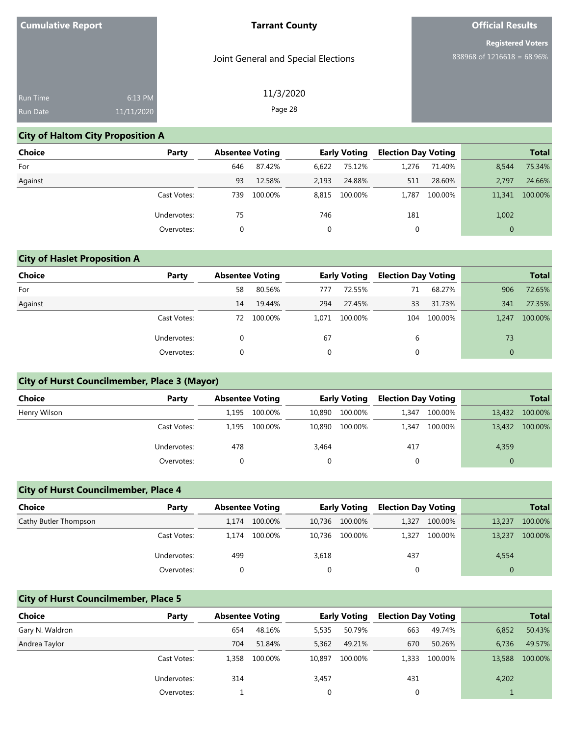Joint General and Special Elections

# **Official Results**

**Registered Voters** 838968 of 1216618 = 68.96%

| <b>Run Time</b> | 6:13 PM    |  |
|-----------------|------------|--|
| <b>Run Date</b> | 11/11/2020 |  |

# 11/3/2020 Page 28

## **City of Haltom City Proposition A**

| <b>Choice</b> | Party       | <b>Absentee Voting</b> |         |       | <b>Early Voting</b> | <b>Election Day Voting</b> |         |                | <b>Total</b> |
|---------------|-------------|------------------------|---------|-------|---------------------|----------------------------|---------|----------------|--------------|
| For           |             | 646                    | 87.42%  | 6,622 | 75.12%              | 1.276                      | 71.40%  | 8,544          | 75.34%       |
| Against       |             | 93                     | 12.58%  | 2,193 | 24.88%              | 511                        | 28.60%  | 2.797          | 24.66%       |
|               | Cast Votes: | 739                    | 100.00% |       | 8,815 100.00%       | 1.787                      | 100.00% | 11,341         | 100.00%      |
|               | Undervotes: | 75                     |         | 746   |                     | 181                        |         | 1,002          |              |
|               | Overvotes:  | 0                      |         |       |                     | 0                          |         | $\overline{0}$ |              |

## **City of Haslet Proposition A**

| Choice  | Party       | <b>Absentee Voting</b> |         |          | <b>Early Voting</b> | <b>Election Day Voting</b> |         |              | <b>Total</b> |
|---------|-------------|------------------------|---------|----------|---------------------|----------------------------|---------|--------------|--------------|
| For     |             | 58                     | 80.56%  | 777      | 72.55%              | 71                         | 68.27%  | 906          | 72.65%       |
| Against |             | 14                     | 19.44%  | 294      | 27.45%              | 33                         | 31.73%  | 341          | 27.35%       |
|         | Cast Votes: | 72                     | 100.00% | 1,071    | 100.00%             | 104                        | 100.00% | 1.247        | 100.00%      |
|         | Undervotes: |                        |         | 67       |                     | 6                          |         | 73           |              |
|         | Overvotes:  |                        |         | $\Omega$ |                     | 0                          |         | $\mathbf{0}$ |              |

## **City of Hurst Councilmember, Place 3 (Mayor)**

| <b>Choice</b> | Party       | <b>Absentee Voting</b> |         |        | <b>Early Voting</b> | <b>Election Day Voting</b> |         |          | <b>Total</b> |
|---------------|-------------|------------------------|---------|--------|---------------------|----------------------------|---------|----------|--------------|
|               |             |                        |         |        |                     |                            |         |          |              |
| Henry Wilson  |             | 1.195                  | 100.00% | 10,890 | 100.00%             | 1,347                      | 100.00% | 13,432   | 100.00%      |
|               | Cast Votes: | 1,195                  | 100.00% | 10,890 | 100.00%             | 1,347                      | 100.00% | 13,432   | 100.00%      |
|               | Undervotes: | 478                    |         | 3,464  |                     | 417                        |         | 4,359    |              |
|               | Overvotes:  |                        |         |        |                     | 0                          |         | $\Omega$ |              |

## **City of Hurst Councilmember, Place 4**

| <b>Choice</b>         | Party       | <b>Absentee Voting</b> |         |        | <b>Early Voting</b> |       | <b>Election Day Voting</b> |        | <b>Total</b> |
|-----------------------|-------------|------------------------|---------|--------|---------------------|-------|----------------------------|--------|--------------|
| Cathy Butler Thompson |             | 1.174                  | 100.00% | 10.736 | 100.00%             | 1,327 | 100.00%                    | 13,237 | 100.00%      |
|                       | Cast Votes: | 1.174                  | 100.00% | 10.736 | 100.00%             | 1.327 | 100.00%                    | 13,237 | 100.00%      |
|                       | Undervotes: | 499                    |         | 3,618  |                     | 437   |                            | 4,554  |              |
|                       | Overvotes:  |                        |         |        |                     |       |                            |        |              |

## **City of Hurst Councilmember, Place 5**

| Choice          | Party       | <b>Absentee Voting</b> |         |        | <b>Early Voting</b> | <b>Election Day Voting</b> |         |        | <b>Total</b> |
|-----------------|-------------|------------------------|---------|--------|---------------------|----------------------------|---------|--------|--------------|
| Gary N. Waldron |             | 654                    | 48.16%  | 5,535  | 50.79%              | 663                        | 49.74%  | 6,852  | 50.43%       |
| Andrea Taylor   |             | 704                    | 51.84%  | 5,362  | 49.21%              | 670                        | 50.26%  | 6.736  | 49.57%       |
|                 | Cast Votes: | 1.358                  | 100.00% | 10.897 | 100.00%             | 1.333                      | 100.00% | 13,588 | 100.00%      |
|                 | Undervotes: | 314                    |         | 3,457  |                     | 431                        |         | 4,202  |              |
|                 | Overvotes:  |                        |         | 0      |                     |                            |         |        |              |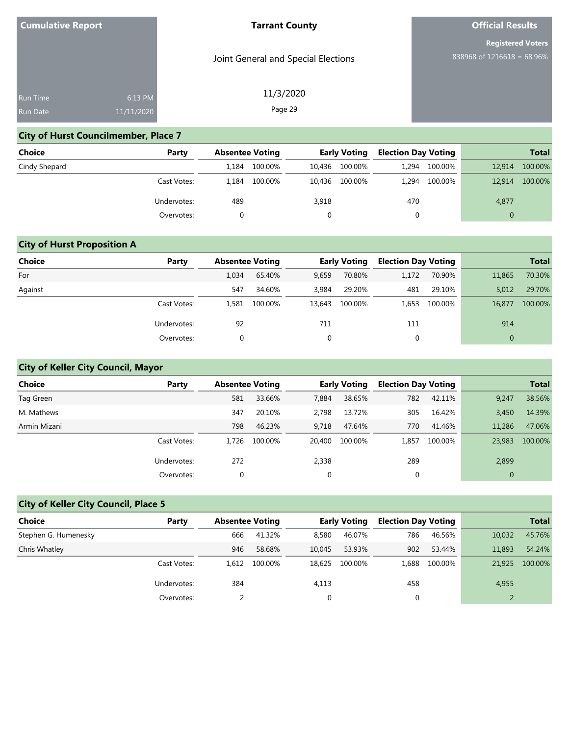Joint General and Special Elections

11/3/2020 Page 29

# **Official Results**

**Registered Voters** 838968 of 1216618 = 68.96%

| <b>Run Time</b> | 6:13 PM    |  |
|-----------------|------------|--|
| <b>Run Date</b> | 11/11/2020 |  |
|                 |            |  |

## **City of Hurst Councilmember, Place 7**

| <b>Choice</b> | Party       | <b>Absentee Voting</b> |         |       | <b>Early Voting</b> | <b>Election Day Voting</b> |         |          | <b>Total</b> |
|---------------|-------------|------------------------|---------|-------|---------------------|----------------------------|---------|----------|--------------|
| Cindy Shepard |             | 1.184                  | 100.00% |       | 10,436 100.00%      | 1.294                      | 100.00% | 12,914   | 100.00%      |
|               | Cast Votes: | 1.184                  | 100.00% |       | 10,436 100.00%      | 1.294                      | 100.00% | 12,914   | 100.00%      |
|               | Undervotes: | 489                    |         | 3,918 |                     | 470                        |         | 4,877    |              |
|               | Overvotes:  |                        |         |       |                     | 0                          |         | $\Omega$ |              |

## **City of Hurst Proposition A**

| <b>Choice</b> | Party       | <b>Absentee Voting</b> |         |              | <b>Early Voting</b> | <b>Election Day Voting</b> |         |              | <b>Total</b> |
|---------------|-------------|------------------------|---------|--------------|---------------------|----------------------------|---------|--------------|--------------|
| For           |             | 1,034                  | 65.40%  | 9,659        | 70.80%              | 1,172                      | 70.90%  | 11,865       | 70.30%       |
| Against       |             | 547                    | 34.60%  | 3,984        | 29.20%              | 481                        | 29.10%  | 5,012        | 29.70%       |
|               | Cast Votes: | 1,581                  | 100.00% | 13,643       | 100.00%             | 1.653                      | 100.00% | 16,877       | 100.00%      |
|               | Undervotes: | 92                     |         | 711          |                     | 111                        |         | 914          |              |
|               | Overvotes:  |                        |         | $\mathbf{0}$ |                     | 0                          |         | $\mathbf{0}$ |              |

## **City of Keller City Council, Mayor**

| Choice       | Party       | <b>Absentee Voting</b> |         |             | <b>Early Voting</b> | <b>Election Day Voting</b> |         |              | <b>Total</b> |
|--------------|-------------|------------------------|---------|-------------|---------------------|----------------------------|---------|--------------|--------------|
| Tag Green    |             | 581                    | 33.66%  | 7,884       | 38.65%              | 782                        | 42.11%  | 9,247        | 38.56%       |
| M. Mathews   |             | 347                    | 20.10%  | 2.798       | 13.72%              | 305                        | 16.42%  | 3.450        | 14.39%       |
| Armin Mizani |             | 798                    | 46.23%  | 9.718       | 47.64%              | 770                        | 41.46%  | 11,286       | 47.06%       |
|              | Cast Votes: | 1.726                  | 100.00% | 20,400      | 100.00%             | 1.857                      | 100.00% | 23,983       | 100.00%      |
|              | Undervotes: | 272                    |         | 2,338       |                     | 289                        |         | 2,899        |              |
|              | Overvotes:  |                        |         | $\mathbf 0$ |                     | $\mathbf 0$                |         | $\mathbf{0}$ |              |

## **City of Keller City Council, Place 5**

| Choice               | Party       | <b>Absentee Voting</b> |         |        | Early Voting | <b>Election Day Voting</b> |         |        | <b>Total</b> |
|----------------------|-------------|------------------------|---------|--------|--------------|----------------------------|---------|--------|--------------|
| Stephen G. Humenesky |             | 666                    | 41.32%  | 8,580  | 46.07%       | 786                        | 46.56%  | 10.032 | 45.76%       |
| Chris Whatley        |             | 946                    | 58.68%  | 10.045 | 53.93%       | 902                        | 53.44%  | 11,893 | 54.24%       |
|                      | Cast Votes: | 1.612                  | 100.00% | 18.625 | 100.00%      | 1.688                      | 100.00% | 21,925 | 100.00%      |
|                      | Undervotes: | 384                    |         | 4,113  |              | 458                        |         | 4,955  |              |
|                      | Overvotes:  |                        |         | 0      |              | 0                          |         |        |              |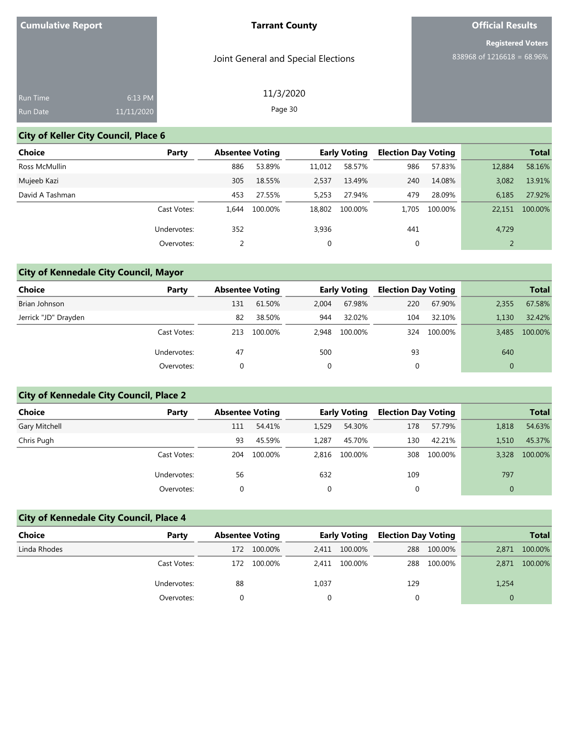Joint General and Special Elections

# **Official Results**

**Registered Voters** 838968 of 1216618 = 68.96%

| 6:13 PM             |
|---------------------|
| $\sqrt{11/11}/2020$ |
|                     |

## 11/3/2020 Page 30

## **City of Keller City Council, Place 6**

| <b>Choice</b>   | Party       | <b>Absentee Voting</b> |         |        | <b>Early Voting</b> | <b>Election Day Voting</b> |         | <b>Total</b> |         |
|-----------------|-------------|------------------------|---------|--------|---------------------|----------------------------|---------|--------------|---------|
| Ross McMullin   |             | 886                    | 53.89%  | 11,012 | 58.57%              | 986                        | 57.83%  | 12,884       | 58.16%  |
| Mujeeb Kazi     |             | 305                    | 18.55%  | 2,537  | 13.49%              | 240                        | 14.08%  | 3,082        | 13.91%  |
| David A Tashman |             | 453                    | 27.55%  | 5,253  | 27.94%              | 479                        | 28.09%  | 6,185        | 27.92%  |
|                 | Cast Votes: | 1.644                  | 100.00% | 18,802 | 100.00%             | 1.705                      | 100.00% | 22,151       | 100.00% |
|                 | Undervotes: | 352                    |         | 3,936  |                     | 441                        |         | 4,729        |         |
|                 | Overvotes:  | 2                      |         | 0      |                     | 0                          |         |              |         |

# **City of Kennedale City Council, Mayor**

| Choice               | Party       | <b>Absentee Voting</b> |         |       | <b>Early Voting</b> | <b>Election Day Voting</b> |         |          | <b>Total</b> |
|----------------------|-------------|------------------------|---------|-------|---------------------|----------------------------|---------|----------|--------------|
| Brian Johnson        |             | 131                    | 61.50%  | 2.004 | 67.98%              | 220                        | 67.90%  | 2,355    | 67.58%       |
| Jerrick "JD" Drayden |             | 82                     | 38.50%  | 944   | 32.02%              | 104                        | 32.10%  | 1.130    | 32.42%       |
|                      | Cast Votes: | 213                    | 100.00% | 2.948 | 100.00%             | 324                        | 100.00% | 3.485    | 100.00%      |
|                      | Undervotes: | 47                     |         | 500   |                     | 93                         |         | 640      |              |
|                      | Overvotes:  | 0                      |         | 0     |                     | 0                          |         | $\Omega$ |              |

# **City of Kennedale City Council, Place 2**

| <b>Choice</b> | Party       |     | <b>Absentee Voting</b> |             | <b>Early Voting</b> |             | <b>Election Day Voting</b> |              | <b>Total</b> |
|---------------|-------------|-----|------------------------|-------------|---------------------|-------------|----------------------------|--------------|--------------|
| Gary Mitchell |             | 111 | 54.41%                 | 1,529       | 54.30%              | 178         | 57.79%                     | 1,818        | 54.63%       |
| Chris Pugh    |             | 93  | 45.59%                 | 1.287       | 45.70%              | 130         | 42.21%                     | 1.510        | 45.37%       |
|               | Cast Votes: | 204 | 100.00%                | 2.816       | 100.00%             | 308         | 100.00%                    | 3,328        | 100.00%      |
|               | Undervotes: | 56  |                        | 632         |                     | 109         |                            | 797          |              |
|               | Overvotes:  |     |                        | $\mathbf 0$ |                     | $\mathbf 0$ |                            | $\mathbf{0}$ |              |

# **City of Kennedale City Council, Place 4**

| Choice       | Party       | <b>Absentee Voting</b> |         |       | <b>Early Voting</b> | <b>Election Day Voting</b> |         | <b>Total</b> |         |
|--------------|-------------|------------------------|---------|-------|---------------------|----------------------------|---------|--------------|---------|
| Linda Rhodes |             | 172                    | 100.00% | 2.411 | 100.00%             | 288                        | 100.00% | 2,871        | 100.00% |
|              | Cast Votes: | 172                    | 100.00% | 2.411 | 100.00%             | 288                        | 100.00% | 2,871        | 100.00% |
|              | Undervotes: | 88                     |         | 1,037 |                     | 129                        |         | 1,254        |         |
|              | Overvotes:  |                        |         |       |                     |                            |         |              |         |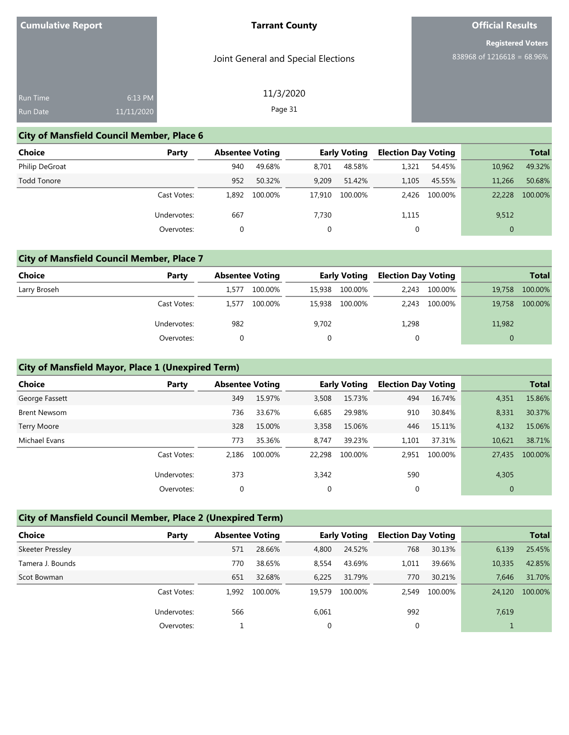Joint General and Special Elections

11/3/2020 Page 31

# **Official Results**

**Registered Voters** 838968 of 1216618 = 68.96%

| <b>Run Time</b> | 6:13 PM             |
|-----------------|---------------------|
| <b>Run Date</b> | $\sqrt{11/11}/2020$ |

## **City of Mansfield Council Member, Place 6**

| <b>Choice</b>  | Party       |       | <b>Absentee Voting</b> |        | <b>Early Voting</b> | <b>Election Day Voting</b> |               |                | <b>Total</b> |
|----------------|-------------|-------|------------------------|--------|---------------------|----------------------------|---------------|----------------|--------------|
| Philip DeGroat |             | 940   | 49.68%                 | 8.701  | 48.58%              | 1,321                      | 54.45%        | 10,962         | 49.32%       |
| Todd Tonore    |             | 952   | 50.32%                 | 9,209  | 51.42%              | 1.105                      | 45.55%        | 11,266         | 50.68%       |
|                | Cast Votes: | 1.892 | 100.00%                | 17.910 | 100.00%             |                            | 2.426 100.00% | 22,228         | 100.00%      |
|                | Undervotes: | 667   |                        | 7.730  |                     | 1,115                      |               | 9,512          |              |
|                | Overvotes:  | 0     |                        |        |                     | 0                          |               | $\overline{0}$ |              |

## **City of Mansfield Council Member, Place 7**

| <b>Choice</b> | Party       | <b>Absentee Voting</b> |         |        | <b>Early Voting</b> |       | <b>Election Day Voting</b> | <b>Total</b> |         |  |
|---------------|-------------|------------------------|---------|--------|---------------------|-------|----------------------------|--------------|---------|--|
| Larry Broseh  |             | 1.577                  | 100.00% | 15,938 | 100.00%             | 2.243 | 100.00%                    | 19,758       | 100.00% |  |
|               | Cast Votes: | 1.577                  | 100.00% | 15,938 | 100.00%             | 2.243 | 100.00%                    | 19,758       | 100.00% |  |
|               | Undervotes: | 982                    |         | 9,702  |                     | 1,298 |                            | 11,982       |         |  |
|               | Overvotes:  |                        |         | 0      |                     |       |                            |              |         |  |

## **City of Mansfield Mayor, Place 1 (Unexpired Term)**

| <b>Choice</b>       | Party       | <b>Absentee Voting</b> |         |        | <b>Early Voting</b> | <b>Election Day Voting</b> |         |                | <b>Total</b> |
|---------------------|-------------|------------------------|---------|--------|---------------------|----------------------------|---------|----------------|--------------|
| George Fassett      |             | 349                    | 15.97%  | 3,508  | 15.73%              | 494                        | 16.74%  | 4,351          | 15.86%       |
| <b>Brent Newsom</b> |             | 736                    | 33.67%  | 6,685  | 29.98%              | 910                        | 30.84%  | 8,331          | 30.37%       |
| <b>Terry Moore</b>  |             | 328                    | 15.00%  | 3,358  | 15.06%              | 446                        | 15.11%  | 4,132          | 15.06%       |
| Michael Evans       |             | 773                    | 35.36%  | 8.747  | 39.23%              | 1.101                      | 37.31%  | 10,621         | 38.71%       |
|                     | Cast Votes: | 2.186                  | 100.00% | 22.298 | 100.00%             | 2,951                      | 100.00% | 27,435         | 100.00%      |
|                     | Undervotes: | 373                    |         | 3,342  |                     | 590                        |         | 4,305          |              |
|                     | Overvotes:  | 0                      |         | 0      |                     | $\Omega$                   |         | $\overline{0}$ |              |

### **City of Mansfield Council Member, Place 2 (Unexpired Term)**

| <b>Choice</b>    | Party       |       | <b>Absentee Voting</b> |        | <b>Early Voting</b> | <b>Election Day Voting</b> |         |        | <b>Total</b> |
|------------------|-------------|-------|------------------------|--------|---------------------|----------------------------|---------|--------|--------------|
| Skeeter Pressley |             | 571   | 28.66%                 | 4,800  | 24.52%              | 768                        | 30.13%  | 6,139  | 25.45%       |
| Tamera J. Bounds |             | 770   | 38.65%                 | 8,554  | 43.69%              | 1,011                      | 39.66%  | 10,335 | 42.85%       |
| Scot Bowman      |             | 651   | 32.68%                 | 6,225  | 31.79%              | 770                        | 30.21%  | 7.646  | 31.70%       |
|                  | Cast Votes: | 1,992 | 100.00%                | 19.579 | 100.00%             | 2.549                      | 100.00% | 24,120 | 100.00%      |
|                  | Undervotes: | 566   |                        | 6,061  |                     | 992                        |         | 7,619  |              |
|                  | Overvotes:  |       |                        | 0      |                     | 0                          |         |        |              |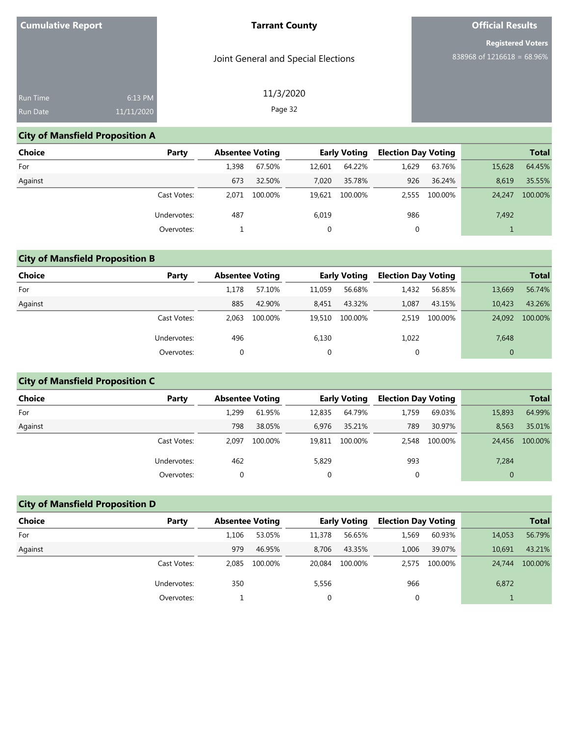Joint General and Special Elections

11/3/2020 Page 32

# **Official Results**

**Registered Voters** 838968 of 1216618 = 68.96%

| 6:13 PM    |  |
|------------|--|
| 11/11/2020 |  |
|            |  |

## **City of Mansfield Proposition A**

| <b>Choice</b> | Party       |       | <b>Absentee Voting</b> |        | <b>Early Voting</b> |       | <b>Election Day Voting</b> |        | <b>Total</b> |
|---------------|-------------|-------|------------------------|--------|---------------------|-------|----------------------------|--------|--------------|
| For           |             | 1.398 | 67.50%                 | 12,601 | 64.22%              | 1.629 | 63.76%                     | 15,628 | 64.45%       |
| Against       |             | 673   | 32.50%                 | 7.020  | 35.78%              | 926   | 36.24%                     | 8.619  | 35.55%       |
|               | Cast Votes: | 2.071 | 100.00%                |        | 19.621 100.00%      | 2.555 | 100.00%                    | 24,247 | 100.00%      |
|               | Undervotes: | 487   |                        | 6,019  |                     | 986   |                            | 7,492  |              |
|               | Overvotes:  |       |                        |        |                     |       |                            |        |              |

## **City of Mansfield Proposition B**

| Choice  | Party       |       | <b>Absentee Voting</b> |        | <b>Early Voting</b> |       | <b>Election Day Voting</b> |              | <b>Total</b> |
|---------|-------------|-------|------------------------|--------|---------------------|-------|----------------------------|--------------|--------------|
| For     |             | 1.178 | 57.10%                 | 11,059 | 56.68%              | 1,432 | 56.85%                     | 13,669       | 56.74%       |
| Against |             | 885   | 42.90%                 | 8,451  | 43.32%              | 1,087 | 43.15%                     | 10.423       | 43.26%       |
|         | Cast Votes: | 2.063 | 100.00%                | 19,510 | 100.00%             | 2,519 | 100.00%                    | 24,092       | 100.00%      |
|         | Undervotes: | 496   |                        | 6,130  |                     | 1,022 |                            | 7,648        |              |
|         | Overvotes:  |       |                        | 0      |                     | 0     |                            | $\mathbf{0}$ |              |

## **City of Mansfield Proposition C**

| <b>Choice</b> | Party       | <b>Absentee Voting</b> |         |        | <b>Early Voting</b> | <b>Election Day Voting</b> |         |              | <b>Total</b> |
|---------------|-------------|------------------------|---------|--------|---------------------|----------------------------|---------|--------------|--------------|
| For           |             | 1,299                  | 61.95%  | 12,835 | 64.79%              | 1,759                      | 69.03%  | 15,893       | 64.99%       |
| Against       |             | 798                    | 38.05%  | 6.976  | 35.21%              | 789                        | 30.97%  | 8.563        | 35.01%       |
|               | Cast Votes: | 2.097                  | 100.00% | 19.811 | 100.00%             | 2,548                      | 100.00% | 24,456       | 100.00%      |
|               | Undervotes: | 462                    |         | 5,829  |                     | 993                        |         | 7,284        |              |
|               | Overvotes:  |                        |         | 0      |                     | υ                          |         | $\mathbf{0}$ |              |

## **City of Mansfield Proposition D**

| Choice  | Party       | <b>Absentee Voting</b> |         |        | <b>Early Voting</b> | <b>Election Day Voting</b> |         |        | <b>Total</b> |
|---------|-------------|------------------------|---------|--------|---------------------|----------------------------|---------|--------|--------------|
| For     |             | 1.106                  | 53.05%  | 11,378 | 56.65%              | 1,569                      | 60.93%  | 14,053 | 56.79%       |
| Against |             | 979                    | 46.95%  | 8.706  | 43.35%              | 1.006                      | 39.07%  | 10.691 | 43.21%       |
|         | Cast Votes: | 2.085                  | 100.00% | 20.084 | 100.00%             | 2.575                      | 100.00% | 24,744 | 100.00%      |
|         | Undervotes: | 350                    |         | 5,556  |                     | 966                        |         | 6,872  |              |
|         | Overvotes:  |                        |         | 0      |                     | 0                          |         |        |              |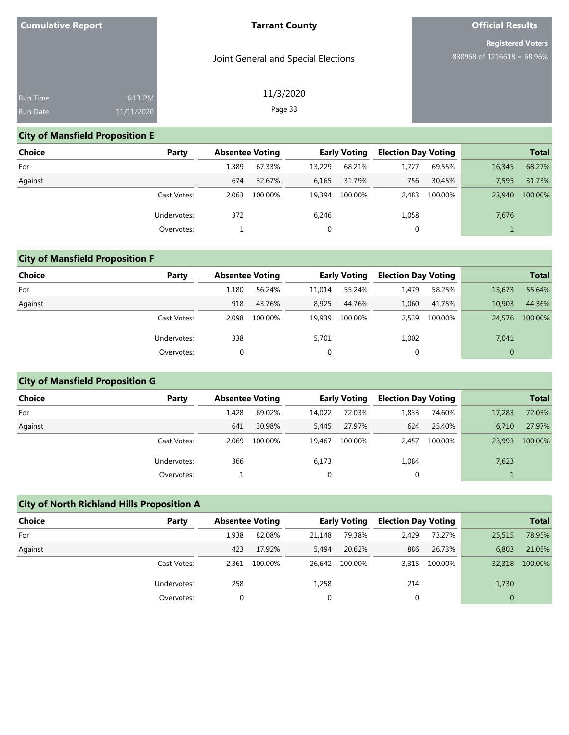Joint General and Special Elections

11/3/2020 Page 33

# **Official Results**

**Registered Voters** 838968 of 1216618 = 68.96%

| Run Time        | 6:13 PM    |
|-----------------|------------|
| <b>Run Date</b> | 11/11/2020 |
|                 |            |

## **City of Mansfield Proposition E**

| <b>Choice</b> | Party       |       | <b>Absentee Voting</b> |        | <b>Early Voting</b> |       | <b>Election Day Voting</b> |        | <b>Total</b> |
|---------------|-------------|-------|------------------------|--------|---------------------|-------|----------------------------|--------|--------------|
| For           |             | 1.389 | 67.33%                 | 13.229 | 68.21%              | 1.727 | 69.55%                     | 16,345 | 68.27%       |
| Against       |             | 674   | 32.67%                 | 6,165  | 31.79%              | 756   | 30.45%                     | 7,595  | 31.73%       |
|               | Cast Votes: | 2.063 | 100.00%                | 19,394 | 100.00%             | 2.483 | 100.00%                    | 23,940 | 100.00%      |
|               | Undervotes: | 372   |                        | 6,246  |                     | 1,058 |                            | 7,676  |              |
|               | Overvotes:  |       |                        | 0      |                     |       |                            |        |              |

## **City of Mansfield Proposition F**

| <b>Choice</b> | Party       |       | <b>Absentee Voting</b> |        | <b>Early Voting</b> |       | <b>Election Day Voting</b> |              | <b>Total</b> |
|---------------|-------------|-------|------------------------|--------|---------------------|-------|----------------------------|--------------|--------------|
| For           |             | 1,180 | 56.24%                 | 11,014 | 55.24%              | 1,479 | 58.25%                     | 13,673       | 55.64%       |
| Against       |             | 918   | 43.76%                 | 8,925  | 44.76%              | 1.060 | 41.75%                     | 10.903       | 44.36%       |
|               | Cast Votes: | 2.098 | 100.00%                | 19.939 | 100.00%             | 2,539 | 100.00%                    | 24,576       | 100.00%      |
|               | Undervotes: | 338   |                        | 5,701  |                     | 1,002 |                            | 7,041        |              |
|               | Overvotes:  |       |                        | 0      |                     | 0     |                            | $\mathbf{0}$ |              |

## **City of Mansfield Proposition G**

| Choice  | Party       | <b>Absentee Voting</b> |         |        | <b>Early Voting</b> | <b>Election Day Voting</b> |         |        | <b>Total</b> |
|---------|-------------|------------------------|---------|--------|---------------------|----------------------------|---------|--------|--------------|
| For     |             | 1,428                  | 69.02%  | 14,022 | 72.03%              | 1,833                      | 74.60%  | 17,283 | 72.03%       |
| Against |             | 641                    | 30.98%  | 5,445  | 27.97%              | 624                        | 25.40%  | 6.710  | 27.97%       |
|         | Cast Votes: | 2.069                  | 100.00% | 19.467 | 100.00%             | 2.457                      | 100.00% | 23,993 | 100.00%      |
|         | Undervotes: | 366                    |         | 6,173  |                     | 1,084                      |         | 7,623  |              |
|         | Overvotes:  |                        |         | 0      |                     | 0                          |         |        |              |

| <b>City of North Richland Hills Proposition A</b> |             |                        |         |                     |         |                            |         |              |              |
|---------------------------------------------------|-------------|------------------------|---------|---------------------|---------|----------------------------|---------|--------------|--------------|
| <b>Choice</b>                                     | Party       | <b>Absentee Voting</b> |         | <b>Early Voting</b> |         | <b>Election Day Voting</b> |         |              | <b>Total</b> |
| For                                               |             | 1,938                  | 82.08%  | 21,148              | 79.38%  | 2.429                      | 73.27%  | 25,515       | 78.95%       |
| Against                                           |             | 423                    | 17.92%  | 5.494               | 20.62%  | 886                        | 26.73%  | 6.803        | 21.05%       |
|                                                   | Cast Votes: | 2.361                  | 100.00% | 26.642              | 100.00% | 3.315                      | 100.00% | 32,318       | 100.00%      |
|                                                   | Undervotes: | 258                    |         | 1,258               |         | 214                        |         | 1,730        |              |
|                                                   | Overvotes:  | 0                      |         | 0                   |         | 0                          |         | $\mathbf{0}$ |              |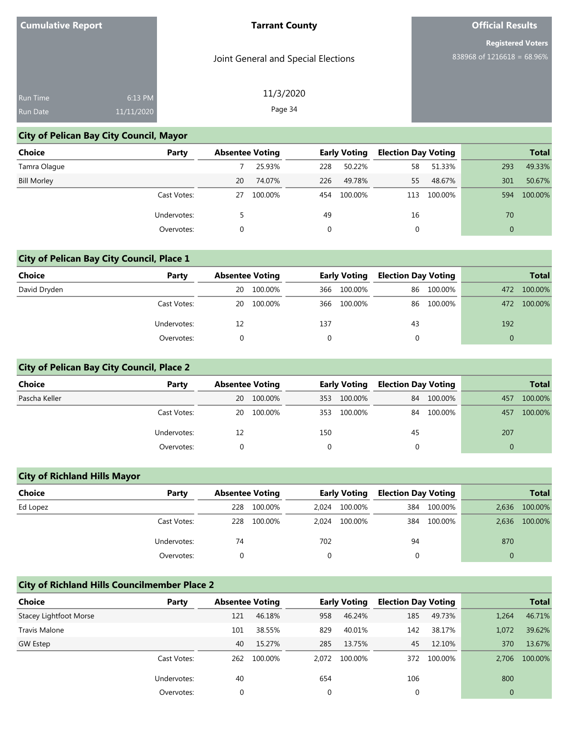Joint General and Special Elections

11/3/2020 Page 34

# **Official Results**

**Registered Voters** 838968 of 1216618 = 68.96%

| <b>Run Time</b> | 6:13 PM    |  |
|-----------------|------------|--|
| <b>Run Date</b> | 11/11/2020 |  |
|                 |            |  |

## **City of Pelican Bay City Council, Mayor**

| Choice             | Party       | <b>Absentee Voting</b> |         |     | <b>Early Voting</b> | <b>Election Day Voting</b> |         |              | <b>Total</b> |
|--------------------|-------------|------------------------|---------|-----|---------------------|----------------------------|---------|--------------|--------------|
| Tamra Olague       |             |                        | 25.93%  | 228 | 50.22%              | 58                         | 51.33%  | 293          | 49.33%       |
| <b>Bill Morley</b> |             | <b>20</b>              | 74.07%  | 226 | 49.78%              | 55                         | 48.67%  | 301          | 50.67%       |
|                    | Cast Votes: | 27                     | 100.00% | 454 | 100.00%             | 113                        | 100.00% | 594          | 100.00%      |
|                    | Undervotes: |                        |         | 49  |                     | 16                         |         | 70           |              |
|                    | Overvotes:  | 0                      |         |     |                     | 0                          |         | $\mathbf{0}$ |              |

## **City of Pelican Bay City Council, Place 1**

| <b>Choice</b> | Party       | <b>Absentee Voting</b> |         |     | <b>Early Voting</b> |    | <b>Election Day Voting</b> |     | <b>Total</b> |
|---------------|-------------|------------------------|---------|-----|---------------------|----|----------------------------|-----|--------------|
| David Dryden  |             | 20                     | 100.00% | 366 | 100.00%             | 86 | 100.00%                    | 472 | 100.00%      |
|               | Cast Votes: | 20                     | 100.00% | 366 | 100.00%             | 86 | 100.00%                    | 472 | 100.00%      |
|               | Undervotes: | 12                     |         | 137 |                     | 43 |                            | 192 |              |
|               | Overvotes:  |                        |         |     |                     |    |                            |     |              |

## **City of Pelican Bay City Council, Place 2**

| <b>Choice</b> | Party       |    | <b>Absentee Voting</b> |     | <b>Early Voting</b> |    | <b>Election Day Voting</b> |     | <b>Total</b> |
|---------------|-------------|----|------------------------|-----|---------------------|----|----------------------------|-----|--------------|
| Pascha Keller |             | 20 | 100.00%                | 353 | 100.00%             | 84 | 100.00%                    | 457 | 100.00%      |
|               | Cast Votes: | 20 | 100.00%                | 353 | 100.00%             |    | 84 100.00%                 | 457 | 100.00%      |
|               | Undervotes: | 12 |                        | 150 |                     | 45 |                            | 207 |              |
|               | Overvotes:  |    |                        |     |                     |    |                            |     |              |

## **City of Richland Hills Mayor**

| <b>Choice</b> | Party       |     | <b>Absentee Voting</b> |       | <b>Early Voting</b> |     | <b>Election Day Voting</b> |       | <b>Total</b> |
|---------------|-------------|-----|------------------------|-------|---------------------|-----|----------------------------|-------|--------------|
| Ed Lopez      |             | 228 | 100.00%                | 2.024 | 100.00%             | 384 | 100.00%                    | 2,636 | 100.00%      |
|               | Cast Votes: | 228 | 100.00%                | 2.024 | 100.00%             | 384 | 100.00%                    | 2,636 | 100.00%      |
|               | Undervotes: | 74  |                        | 702   |                     | 94  |                            | 870   |              |
|               | Overvotes:  |     |                        |       |                     |     |                            |       |              |

## **City of Richland Hills Councilmember Place 2**

| <b>Choice</b>          | Party       | <b>Absentee Voting</b> |         |             | <b>Early Voting</b> | <b>Election Day Voting</b> |         |              | <b>Total</b> |
|------------------------|-------------|------------------------|---------|-------------|---------------------|----------------------------|---------|--------------|--------------|
| Stacey Lightfoot Morse |             | 121                    | 46.18%  | 958         | 46.24%              | 185                        | 49.73%  | 1,264        | 46.71%       |
| Travis Malone          |             | 101                    | 38.55%  | 829         | 40.01%              | 142                        | 38.17%  | 1,072        | 39.62%       |
| <b>GW Estep</b>        |             | 40                     | 15.27%  | 285         | 13.75%              | 45                         | 12.10%  | 370          | 13.67%       |
|                        | Cast Votes: | 262                    | 100.00% | 2.072       | 100.00%             | 372                        | 100.00% | 2.706        | 100.00%      |
|                        | Undervotes: | 40                     |         | 654         |                     | 106                        |         | 800          |              |
|                        | Overvotes:  |                        |         | $\mathbf 0$ |                     | 0                          |         | $\mathbf{0}$ |              |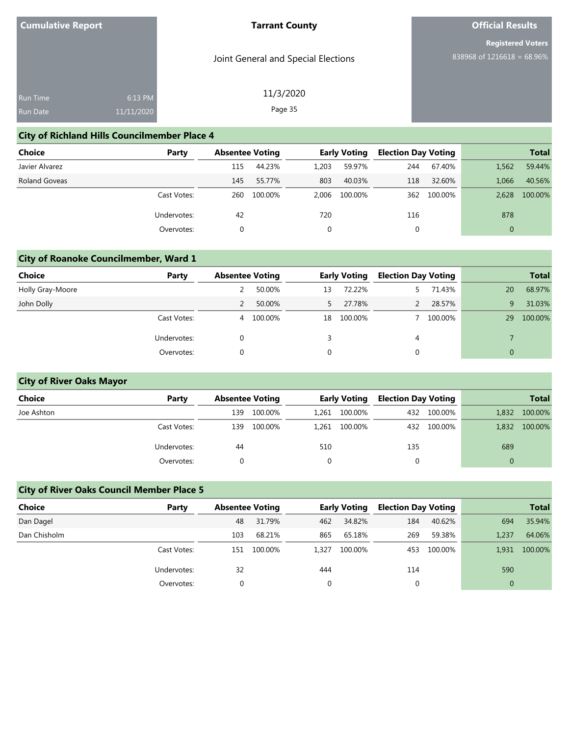Joint General and Special Elections

11/3/2020 Page 35

# **Official Results**

**Registered Voters** 838968 of 1216618 = 68.96%

## **City of Richland Hills Councilmember Place 4**

| <b>Choice</b>        | Party       | <b>Absentee Voting</b> |         | <b>Early Voting</b> |         | <b>Election Day Voting</b> |         |              | <b>Total</b> |
|----------------------|-------------|------------------------|---------|---------------------|---------|----------------------------|---------|--------------|--------------|
| Javier Alvarez       |             | 115                    | 44.23%  | 1,203               | 59.97%  | 244                        | 67.40%  | 1,562        | 59.44%       |
| <b>Roland Goveas</b> |             | 145                    | 55.77%  | 803                 | 40.03%  | 118                        | 32.60%  | 1.066        | 40.56%       |
|                      | Cast Votes: | 260                    | 100.00% | 2.006               | 100.00% | 362                        | 100.00% | 2.628        | 100.00%      |
|                      | Undervotes: | 42                     |         | 720                 |         | 116                        |         | 878          |              |
|                      | Overvotes:  | 0                      |         |                     |         | 0                          |         | $\mathbf{0}$ |              |

## **City of Roanoke Councilmember, Ward 1**

| <b>Choice</b>    | Party       |   | <b>Absentee Voting</b> |    | <b>Early Voting</b> | <b>Election Day Voting</b> |         |    | <b>Total</b> |
|------------------|-------------|---|------------------------|----|---------------------|----------------------------|---------|----|--------------|
| Holly Gray-Moore |             |   | 50.00%                 | 13 | 72.22%              |                            | 71.43%  | 20 | 68.97%       |
| John Dolly       |             |   | 50.00%                 |    | 27.78%              |                            | 28.57%  | 9  | 31.03%       |
|                  | Cast Votes: | 4 | 100.00%                | 18 | 100.00%             |                            | 100.00% | 29 | 100.00%      |
|                  | Undervotes: |   |                        |    |                     | 4                          |         |    |              |
|                  | Overvotes:  |   |                        | 0  |                     |                            |         |    |              |

## **City of River Oaks Mayor**

| <b>Choice</b> | Party       | <b>Absentee Voting</b> |         | <b>Early Voting</b> |         | <b>Election Day Voting</b> |             |          | <b>Total</b> |  |
|---------------|-------------|------------------------|---------|---------------------|---------|----------------------------|-------------|----------|--------------|--|
| Joe Ashton    |             | 139                    | 100.00% | 1,261               | 100.00% |                            | 432 100.00% | 1,832    | 100.00%      |  |
|               | Cast Votes: | 139                    | 100.00% | 1,261               | 100.00% |                            | 432 100.00% | 1,832    | 100.00%      |  |
|               | Undervotes: | 44                     |         | 510                 |         | 135                        |             | 689      |              |  |
|               | Overvotes:  |                        |         |                     |         |                            |             | $\Omega$ |              |  |

## **City of River Oaks Council Member Place 5**

| Choice       | Party       |     | <b>Absentee Voting</b> |       | <b>Early Voting</b> |     | <b>Election Day Voting</b> |          | <b>Total</b> |
|--------------|-------------|-----|------------------------|-------|---------------------|-----|----------------------------|----------|--------------|
| Dan Dagel    |             | 48  | 31.79%                 | 462   | 34.82%              | 184 | 40.62%                     | 694      | 35.94%       |
| Dan Chisholm |             | 103 | 68.21%                 | 865   | 65.18%              | 269 | 59.38%                     | 1,237    | 64.06%       |
|              | Cast Votes: | 151 | 100.00%                | 1.327 | 100.00%             | 453 | 100.00%                    | 1,931    | 100.00%      |
|              | Undervotes: | 32  |                        | 444   |                     | 114 |                            | 590      |              |
|              | Overvotes:  |     |                        | 0     |                     |     |                            | $\Omega$ |              |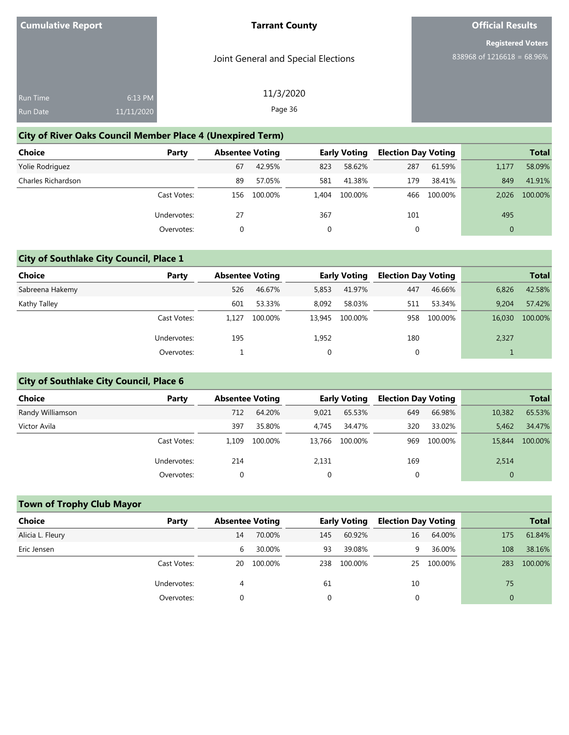Joint General and Special Elections

# **Official Results**

**Registered Voters** 838968 of 1216618 = 68.96%

| <b>Run Time</b> | 6:13 PM    |
|-----------------|------------|
| <b>Run Date</b> | 11/11/2020 |

11/3/2020 Page 36

# **City of River Oaks Council Member Place 4 (Unexpired Term)**

| <b>Choice</b>      | Party       | <b>Absentee Voting</b> |         |       | <b>Early Voting</b> | <b>Election Day Voting</b> |         |              | <b>Total</b> |
|--------------------|-------------|------------------------|---------|-------|---------------------|----------------------------|---------|--------------|--------------|
| Yolie Rodriguez    |             | 67                     | 42.95%  | 823   | 58.62%              | 287                        | 61.59%  | 1,177        | 58.09%       |
| Charles Richardson |             | 89                     | 57.05%  | 581   | 41.38%              | 179                        | 38.41%  | 849          | 41.91%       |
|                    | Cast Votes: | 156                    | 100.00% | 1.404 | 100.00%             | 466                        | 100.00% | 2.026        | 100.00%      |
|                    | Undervotes: | 27                     |         | 367   |                     | 101                        |         | 495          |              |
|                    | Overvotes:  | $\Omega$               |         | 0     |                     | 0                          |         | $\mathbf{0}$ |              |

## **City of Southlake City Council, Place 1**

| <b>Choice</b>   | Party       |       | <b>Absentee Voting</b> |        | <b>Early Voting</b> |     | <b>Election Day Voting</b> |        | <b>Total</b> |
|-----------------|-------------|-------|------------------------|--------|---------------------|-----|----------------------------|--------|--------------|
| Sabreena Hakemy |             | 526   | 46.67%                 | 5,853  | 41.97%              | 447 | 46.66%                     | 6,826  | 42.58%       |
| Kathy Talley    |             | 601   | 53.33%                 | 8,092  | 58.03%              | 511 | 53.34%                     | 9.204  | 57.42%       |
|                 | Cast Votes: | 1.127 | 100.00%                | 13,945 | 100.00%             | 958 | 100.00%                    | 16,030 | 100.00%      |
|                 | Undervotes: | 195   |                        | 1,952  |                     | 180 |                            | 2,327  |              |
|                 | Overvotes:  |       |                        |        |                     | 0   |                            |        |              |

## **City of Southlake City Council, Place 6**

| <b>Choice</b>    | Party       | <b>Absentee Voting</b> |         |          | <b>Early Voting</b> | <b>Election Day Voting</b> |         |              | <b>Total</b> |
|------------------|-------------|------------------------|---------|----------|---------------------|----------------------------|---------|--------------|--------------|
| Randy Williamson |             | 712                    | 64.20%  | 9,021    | 65.53%              | 649                        | 66.98%  | 10,382       | 65.53%       |
| Victor Avila     |             | 397                    | 35.80%  | 4.745    | 34.47%              | 320                        | 33.02%  | 5.462        | 34.47%       |
|                  | Cast Votes: | 1.109                  | 100.00% | 13.766   | 100.00%             | 969                        | 100.00% | 15,844       | 100.00%      |
|                  | Undervotes: | 214                    |         | 2,131    |                     | 169                        |         | 2,514        |              |
|                  | Overvotes:  |                        |         | $\Omega$ |                     | 0                          |         | $\mathbf{0}$ |              |

## **Town of Trophy Club Mayor**

| <b>Choice</b>    | Party       | <b>Absentee Voting</b> |         |     | <b>Early Voting</b> | <b>Election Day Voting</b> |            |          | <b>Total</b> |
|------------------|-------------|------------------------|---------|-----|---------------------|----------------------------|------------|----------|--------------|
| Alicia L. Fleury |             | 14                     | 70.00%  | 145 | 60.92%              | 16                         | 64.00%     | 175      | 61.84%       |
| Eric Jensen      |             | 6                      | 30.00%  | 93  | 39.08%              | 9                          | 36.00%     | 108      | 38.16%       |
|                  | Cast Votes: | 20                     | 100.00% | 238 | 100.00%             |                            | 25 100.00% | 283      | 100.00%      |
|                  | Undervotes: | 4                      |         | 61  |                     | 10                         |            | 75       |              |
|                  | Overvotes:  |                        |         |     |                     |                            |            | $\Omega$ |              |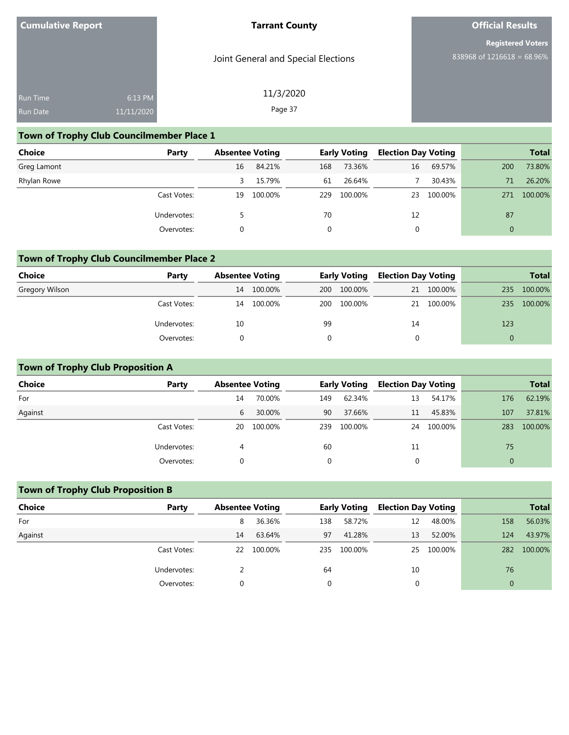Joint General and Special Elections

11/3/2020 Page 37

# **Official Results**

**Registered Voters** 838968 of 1216618 = 68.96%

| <b>Run Time</b> | $6:13$ PM  |
|-----------------|------------|
|                 |            |
| <b>Run Date</b> | 11/11/2020 |

## **Town of Trophy Club Councilmember Place 1**

| <b>Choice</b> | Party       | <b>Absentee Voting</b> |         |     | <b>Early Voting</b> | <b>Election Day Voting</b> |         |              | <b>Total</b> |
|---------------|-------------|------------------------|---------|-----|---------------------|----------------------------|---------|--------------|--------------|
| Greg Lamont   |             | 16                     | 84.21%  | 168 | 73.36%              | 16                         | 69.57%  | 200          | 73.80%       |
| Rhylan Rowe   |             |                        | 15.79%  | 61  | 26.64%              |                            | 30.43%  | 71           | 26.20%       |
|               | Cast Votes: | 19                     | 100.00% | 229 | 100.00%             | 23                         | 100.00% | 271          | 100.00%      |
|               | Undervotes: |                        |         | 70  |                     | 12                         |         | 87           |              |
|               | Overvotes:  |                        |         | 0   |                     | 0                          |         | $\mathbf{0}$ |              |

## **Town of Trophy Club Councilmember Place 2**

| Choice         | Party       |    | <b>Absentee Voting</b> |            | <b>Early Voting</b> |    | <b>Election Day Voting</b> |     | <b>Total</b> |
|----------------|-------------|----|------------------------|------------|---------------------|----|----------------------------|-----|--------------|
| Gregory Wilson |             | 14 | 100.00%                | <b>200</b> | 100.00%             |    | 21 100.00%                 | 235 | 100.00%      |
|                | Cast Votes: | 14 | 100.00%                | 200        | 100.00%             |    | 21 100.00%                 | 235 | 100.00%      |
|                | Undervotes: | 10 |                        | 99         |                     | 14 |                            | 123 |              |
|                | Overvotes:  |    |                        |            |                     |    |                            | 0   |              |

## **Town of Trophy Club Proposition A**

| <b>Choice</b> | Party       |    | <b>Absentee Voting</b> |     | <b>Early Voting</b> | <b>Election Day Voting</b> |         |              | <b>Total</b> |
|---------------|-------------|----|------------------------|-----|---------------------|----------------------------|---------|--------------|--------------|
| For           |             | 14 | 70.00%                 | 149 | 62.34%              | 13                         | 54.17%  | 176          | 62.19%       |
| Against       |             | 6  | 30.00%                 | 90  | 37.66%              | 11                         | 45.83%  | 107          | 37.81%       |
|               | Cast Votes: | 20 | 100.00%                | 239 | 100.00%             | 24                         | 100.00% | 283          | 100.00%      |
|               | Undervotes: | 4  |                        | 60  |                     | 11                         |         | 75           |              |
|               | Overvotes:  |    |                        |     |                     |                            |         | $\mathbf{0}$ |              |

## **Town of Trophy Club Proposition B**

| <b>Choice</b> | Party       | <b>Absentee Voting</b> |         |     | <b>Early Voting</b> | <b>Election Day Voting</b> |            |                | <b>Total</b> |
|---------------|-------------|------------------------|---------|-----|---------------------|----------------------------|------------|----------------|--------------|
| For           |             | 8                      | 36.36%  | 138 | 58.72%              | 12                         | 48.00%     | 158            | 56.03%       |
| Against       |             | 14                     | 63.64%  | 97  | 41.28%              | 13                         | 52.00%     | 124            | 43.97%       |
|               | Cast Votes: | 22                     | 100.00% | 235 | 100.00%             |                            | 25 100.00% | 282            | 100.00%      |
|               | Undervotes: |                        |         | 64  |                     | 10                         |            | 76             |              |
|               | Overvotes:  |                        |         |     |                     |                            |            | $\overline{0}$ |              |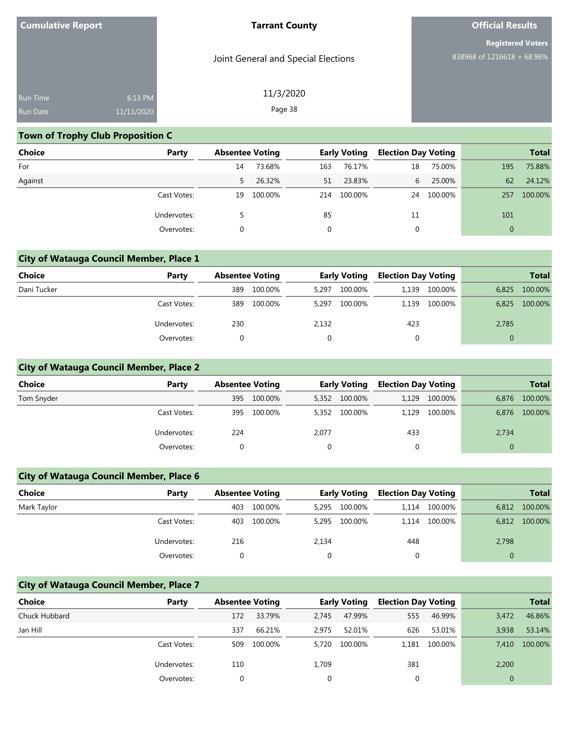| <b>Cumulative Report</b> |  |  |
|--------------------------|--|--|
|--------------------------|--|--|

Joint General and Special Elections

11/3/2020 Page 38

# **Official Results**

**Registered Voters** 838968 of 1216618 = 68.96%

| <b>Run Time</b> | 6:13 PM             |
|-----------------|---------------------|
| <b>Run Date</b> | $\sqrt{11/11}/2020$ |

## **Town of Trophy Club Proposition C**

| <b>Choice</b> | Party       | <b>Absentee Voting</b> |         |     | <b>Early Voting</b> | <b>Election Day Voting</b> |         |              | <b>Total</b> |
|---------------|-------------|------------------------|---------|-----|---------------------|----------------------------|---------|--------------|--------------|
| For           |             | 14                     | 73.68%  | 163 | 76.17%              | 18                         | 75.00%  | 195          | 75.88%       |
| Against       |             | 5.                     | 26.32%  | 51  | 23.83%              | 6                          | 25.00%  | 62           | 24.12%       |
|               | Cast Votes: | 19                     | 100.00% |     | 214 100.00%         | 24                         | 100.00% | 257          | 100.00%      |
|               | Undervotes: |                        |         | 85  |                     | 11                         |         | 101          |              |
|               | Overvotes:  |                        |         | 0   |                     | 0                          |         | $\mathbf{0}$ |              |

## **City of Watauga Council Member, Place 1**

| <b>Choice</b> | Party       |     | <b>Absentee Voting</b> |       | <b>Early Voting</b> |       | <b>Election Day Voting</b> |          | <b>Total</b> |
|---------------|-------------|-----|------------------------|-------|---------------------|-------|----------------------------|----------|--------------|
| Dani Tucker   |             | 389 | 100.00%                | 5,297 | 100.00%             | 1.139 | 100.00%                    | 6,825    | 100.00%      |
|               | Cast Votes: | 389 | 100.00%                | 5,297 | 100.00%             | 1,139 | 100.00%                    | 6,825    | 100.00%      |
|               | Undervotes: | 230 |                        | 2,132 |                     | 423   |                            | 2,785    |              |
|               | Overvotes:  |     |                        | 0     |                     |       |                            | $\Omega$ |              |

## **City of Watauga Council Member, Place 2**

| <b>Choice</b> | Party       |     | <b>Absentee Voting</b> |       | <b>Early Voting</b> |     | <b>Election Day Voting</b> |       | <b>Total</b> |
|---------------|-------------|-----|------------------------|-------|---------------------|-----|----------------------------|-------|--------------|
| Tom Snyder    |             | 395 | 100.00%                | 5,352 | 100.00%             |     | 1,129 100.00%              | 6.876 | 100.00%      |
|               | Cast Votes: | 395 | 100.00%                | 5,352 | 100.00%             |     | 1.129 100.00%              | 6,876 | 100.00%      |
|               | Undervotes: | 224 |                        | 2,077 |                     | 433 |                            | 2,734 |              |
|               | Overvotes:  |     |                        |       |                     |     |                            | 0     |              |

## **City of Watauga Council Member, Place 6**

| <b>Choice</b> | Party       | <b>Absentee Voting</b> |         | <b>Early Voting</b> |         | <b>Election Day Voting</b> |         |          | <b>Total</b> |
|---------------|-------------|------------------------|---------|---------------------|---------|----------------------------|---------|----------|--------------|
| Mark Taylor   |             | 403                    | 100.00% | 5.295               | 100.00% | 1.114                      | 100.00% | 6.812    | 100.00%      |
|               | Cast Votes: | 403                    | 100.00% | 5.295               | 100.00% | 1,114                      | 100.00% | 6.812    | 100.00%      |
|               | Undervotes: | 216                    |         | 2,134               |         | 448                        |         | 2,798    |              |
|               | Overvotes:  |                        |         |                     |         |                            |         | $\Omega$ |              |

#### **City of Watauga Council Member, Place 7**

| Choice        | Party       |     | <b>Absentee Voting</b> |       | <b>Early Voting</b> |          | <b>Election Day Voting</b> |          | <b>Total</b> |
|---------------|-------------|-----|------------------------|-------|---------------------|----------|----------------------------|----------|--------------|
| Chuck Hubbard |             | 172 | 33.79%                 | 2.745 | 47.99%              | 555      | 46.99%                     | 3,472    | 46.86%       |
| Jan Hill      |             | 337 | 66.21%                 | 2.975 | 52.01%              | 626      | 53.01%                     | 3.938    | 53.14%       |
|               | Cast Votes: | 509 | 100.00%                | 5.720 | 100.00%             |          | 1,181 100.00%              | 7.410    | 100.00%      |
|               | Undervotes: | 110 |                        | 1,709 |                     | 381      |                            | 2,200    |              |
|               | Overvotes:  |     |                        |       |                     | $\Omega$ |                            | $\Omega$ |              |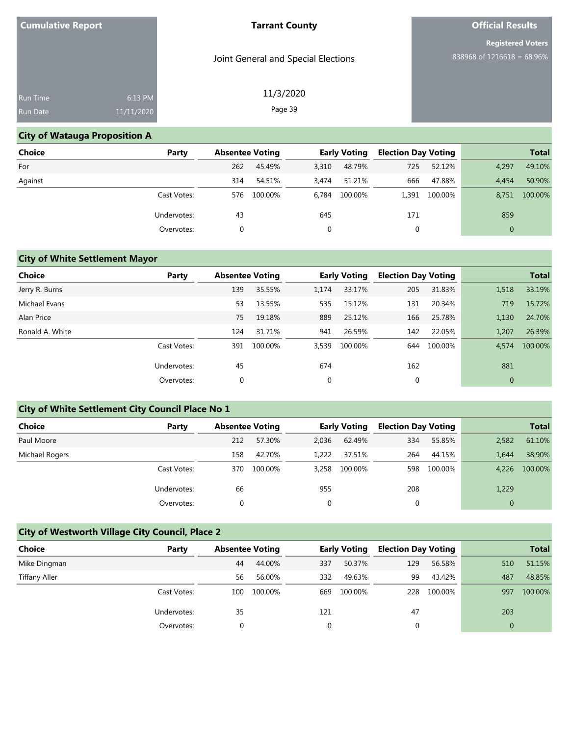Joint General and Special Elections

11/3/2020 Page 39

# **Official Results**

**Registered Voters** 838968 of 1216618 = 68.96%

| 11/11/2020 |         |
|------------|---------|
|            | 6:13 PM |

## **City of Watauga Proposition A**

| <b>Choice</b> | Party       |     | <b>Absentee Voting</b> |       | <b>Early Voting</b> |       | <b>Election Day Voting</b> |              | <b>Total</b> |
|---------------|-------------|-----|------------------------|-------|---------------------|-------|----------------------------|--------------|--------------|
| For           |             | 262 | 45.49%                 | 3,310 | 48.79%              | 725   | 52.12%                     | 4,297        | 49.10%       |
| Against       |             | 314 | 54.51%                 | 3.474 | 51.21%              | 666   | 47.88%                     | 4.454        | 50.90%       |
|               | Cast Votes: | 576 | 100.00%                |       | 6,784 100.00%       | 1.391 | 100.00%                    | 8.751        | 100.00%      |
|               | Undervotes: | 43  |                        | 645   |                     | 171   |                            | 859          |              |
|               | Overvotes:  | 0   |                        |       |                     |       |                            | $\mathbf{0}$ |              |

## **City of White Settlement Mayor**

| <b>Choice</b>   | Party       | <b>Absentee Voting</b> |         |       | <b>Early Voting</b> | <b>Election Day Voting</b> |         |              | <b>Total</b> |
|-----------------|-------------|------------------------|---------|-------|---------------------|----------------------------|---------|--------------|--------------|
| Jerry R. Burns  |             | 139                    | 35.55%  | 1,174 | 33.17%              | 205                        | 31.83%  | 1,518        | 33.19%       |
| Michael Evans   |             | 53                     | 13.55%  | 535   | 15.12%              | 131                        | 20.34%  | 719          | 15.72%       |
| Alan Price      |             | 75                     | 19.18%  | 889   | 25.12%              | 166                        | 25.78%  | 1,130        | 24.70%       |
| Ronald A. White |             | 124                    | 31.71%  | 941   | 26.59%              | 142                        | 22.05%  | 1,207        | 26.39%       |
|                 | Cast Votes: | 391                    | 100.00% | 3,539 | 100.00%             | 644                        | 100.00% | 4,574        | 100.00%      |
|                 | Undervotes: | 45                     |         | 674   |                     | 162                        |         | 881          |              |
|                 | Overvotes:  | 0                      |         | 0     |                     | 0                          |         | $\mathbf{0}$ |              |

## **City of White Settlement City Council Place No 1**

| Choice         | Party       |     | <b>Absentee Voting</b> |          | <b>Early Voting</b> | <b>Election Day Voting</b> |         |                | <b>Total</b> |
|----------------|-------------|-----|------------------------|----------|---------------------|----------------------------|---------|----------------|--------------|
| Paul Moore     |             | 212 | 57.30%                 | 2.036    | 62.49%              | 334                        | 55.85%  | 2,582          | 61.10%       |
| Michael Rogers |             | 158 | 42.70%                 | 1.222    | 37.51%              | 264                        | 44.15%  | 1.644          | 38.90%       |
|                | Cast Votes: | 370 | 100.00%                | 3.258    | 100.00%             | 598                        | 100.00% | 4.226          | 100.00%      |
|                | Undervotes: | 66  |                        | 955      |                     | 208                        |         | 1,229          |              |
|                | Overvotes:  |     |                        | $\Omega$ |                     |                            |         | $\overline{0}$ |              |

## **City of Westworth Village City Council, Place 2**

| Choice               | Party       |     | <b>Absentee Voting</b> |     | <b>Early Voting</b> | <b>Election Day Voting</b> |         |          | <b>Total</b> |
|----------------------|-------------|-----|------------------------|-----|---------------------|----------------------------|---------|----------|--------------|
| Mike Dingman         |             | 44  | 44.00%                 | 337 | 50.37%              | 129                        | 56.58%  | 510      | 51.15%       |
| <b>Tiffany Aller</b> |             | 56  | 56.00%                 | 332 | 49.63%              | 99                         | 43.42%  | 487      | 48.85%       |
|                      | Cast Votes: | 100 | 100.00%                | 669 | 100.00%             | 228                        | 100.00% | 997      | 100.00%      |
|                      | Undervotes: | 35  |                        | 121 |                     | 47                         |         | 203      |              |
|                      | Overvotes:  |     |                        |     |                     |                            |         | $\Omega$ |              |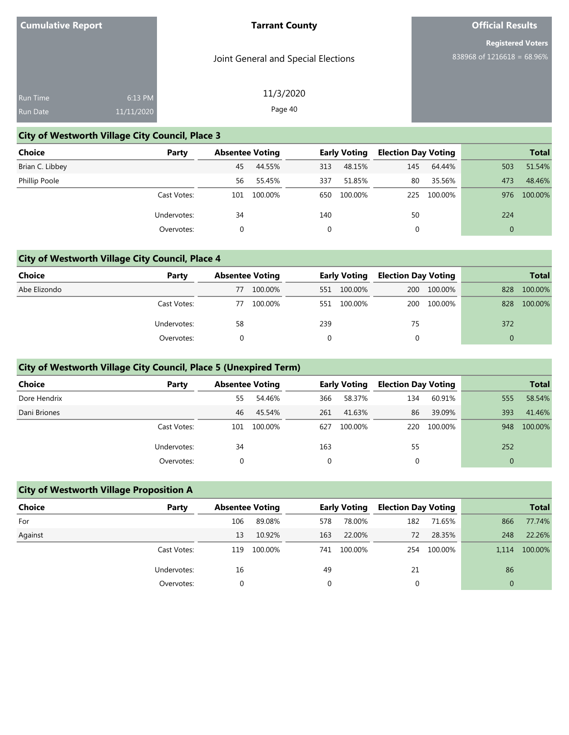Joint General and Special Elections

11/3/2020 Page 40

# **Official Results**

**Registered Voters** 838968 of 1216618 = 68.96%

| <b>Run Time</b> | 6:13 PM    |
|-----------------|------------|
| <b>Run Date</b> | 11/11/2020 |

# **City of Westworth Village City Council, Place 3**

| <b>Choice</b>        | Party       |     | <b>Absentee Voting</b> |     | <b>Early Voting</b> |     | <b>Election Day Voting</b> |          | <b>Total</b> |
|----------------------|-------------|-----|------------------------|-----|---------------------|-----|----------------------------|----------|--------------|
| Brian C. Libbey      |             | 45  | 44.55%                 | 313 | 48.15%              | 145 | 64.44%                     | 503      | 51.54%       |
| <b>Phillip Poole</b> |             | 56  | 55.45%                 | 337 | 51.85%              | 80  | 35.56%                     | 473      | 48.46%       |
|                      | Cast Votes: | 101 | 100.00%                | 650 | 100.00%             | 225 | 100.00%                    | 976      | 100.00%      |
|                      | Undervotes: | 34  |                        | 140 |                     | 50  |                            | 224      |              |
|                      | Overvotes:  | 0   |                        |     |                     | 0   |                            | $\Omega$ |              |

## **City of Westworth Village City Council, Place 4**

| Choice       | Party       | <b>Absentee Voting</b> |         | <b>Early Voting</b> |         | <b>Election Day Voting</b> |             | <b>Total</b> |         |
|--------------|-------------|------------------------|---------|---------------------|---------|----------------------------|-------------|--------------|---------|
| Abe Elizondo |             | 77                     | 100.00% | 551                 | 100.00% |                            | 200 100.00% | 828          | 100.00% |
|              | Cast Votes: | 77                     | 100.00% | 551                 | 100.00% | 200                        | 100.00%     | 828          | 100.00% |
|              | Undervotes: | 58                     |         | 239                 |         | 75                         |             | 372          |         |
|              | Overvotes:  |                        |         | $\Omega$            |         |                            |             |              |         |

## **City of Westworth Village City Council, Place 5 (Unexpired Term)**

| <b>Choice</b> | Party       | <b>Absentee Voting</b> |         |     | <b>Early Voting</b> | <b>Election Day Voting</b> |         |     | <b>Total</b> |
|---------------|-------------|------------------------|---------|-----|---------------------|----------------------------|---------|-----|--------------|
| Dore Hendrix  |             | 55                     | 54.46%  | 366 | 58.37%              | 134                        | 60.91%  | 555 | 58.54%       |
| Dani Briones  |             | 46                     | 45.54%  | 261 | 41.63%              | 86                         | 39.09%  | 393 | 41.46%       |
|               | Cast Votes: | 101                    | 100.00% | 627 | 100.00%             | 220                        | 100.00% | 948 | 100.00%      |
|               | Undervotes: | 34                     |         | 163 |                     | 55                         |         | 252 |              |
|               | Overvotes:  |                        |         |     |                     |                            |         | 0   |              |

## **City of Westworth Village Proposition A**

| Choice  | Party       |     | <b>Absentee Voting</b> |     | <b>Early Voting</b> | <b>Election Day Voting</b> |         |          | <b>Total</b> |
|---------|-------------|-----|------------------------|-----|---------------------|----------------------------|---------|----------|--------------|
| For     |             | 106 | 89.08%                 | 578 | 78.00%              | 182                        | 71.65%  | 866      | 77.74%       |
| Against |             | 13  | 10.92%                 | 163 | 22.00%              | 72                         | 28.35%  | 248      | 22.26%       |
|         | Cast Votes: | 119 | 100.00%                | 741 | 100.00%             | 254                        | 100.00% | 1.114    | 100.00%      |
|         | Undervotes: | 16  |                        | 49  |                     | 21                         |         | 86       |              |
|         | Overvotes:  |     |                        |     |                     |                            |         | $\Omega$ |              |